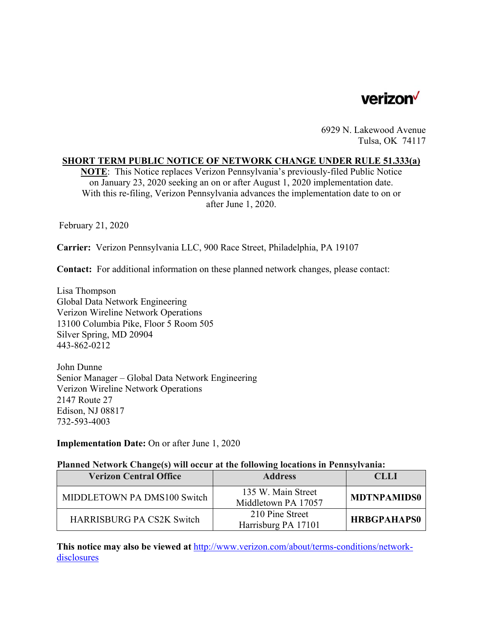

6929 N. Lakewood Avenue Tulsa, OK 74117

### **SHORT TERM PUBLIC NOTICE OF NETWORK CHANGE UNDER RULE 51.333(a)**

**NOTE**: This Notice replaces Verizon Pennsylvania's previously-filed Public Notice on January 23, 2020 seeking an on or after August 1, 2020 implementation date. With this re-filing, Verizon Pennsylvania advances the implementation date to on or after June 1, 2020.

February 21, 2020

**Carrier:** Verizon Pennsylvania LLC, 900 Race Street, Philadelphia, PA 19107

**Contact:** For additional information on these planned network changes, please contact:

Lisa Thompson Global Data Network Engineering Verizon Wireline Network Operations 13100 Columbia Pike, Floor 5 Room 505 Silver Spring, MD 20904 443-862-0212

John Dunne Senior Manager – Global Data Network Engineering Verizon Wireline Network Operations 2147 Route 27 Edison, NJ 08817 732-593-4003

**Implementation Date:** On or after June 1, 2020

### **Planned Network Change(s) will occur at the following locations in Pennsylvania:**

| <b>Verizon Central Office</b>    | <b>Address</b>                            | CLLI               |
|----------------------------------|-------------------------------------------|--------------------|
| MIDDLETOWN PA DMS100 Switch      | 135 W. Main Street<br>Middletown PA 17057 | <b>MDTNPAMIDS0</b> |
| <b>HARRISBURG PA CS2K Switch</b> | 210 Pine Street<br>Harrisburg PA 17101    | <b>HRBGPAHAPS0</b> |

**This notice may also be viewed at** http://www.verizon.com/about/terms-conditions/networkdisclosures